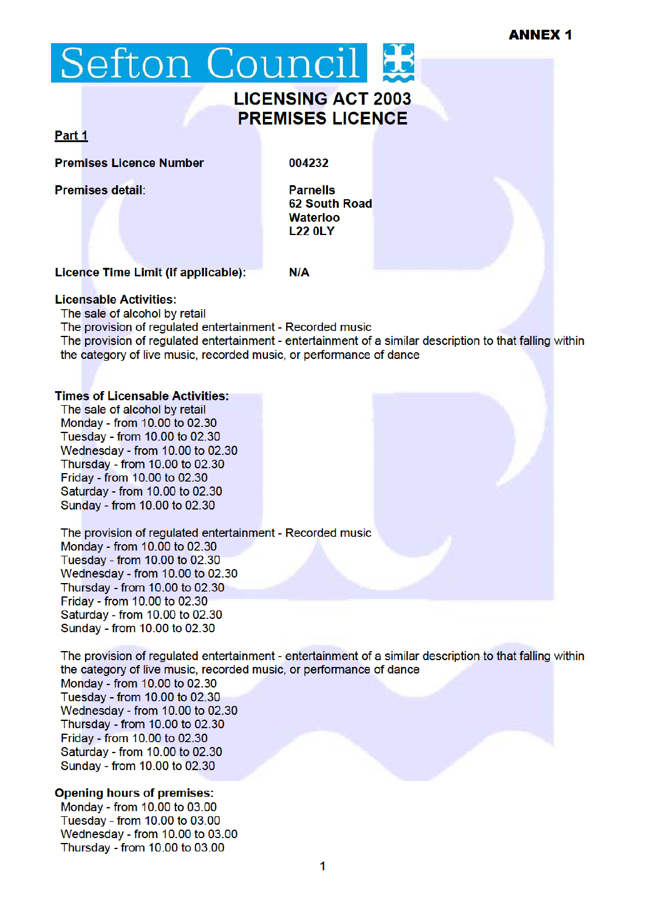# Sefton Council

# **LICENSING ACT 2003 PREMISES LICENCE**

### Part 1

**Premises Licence Number** 

Premises detail:

004232

 $N/A$ 

**Parnells** 62 South Road **Waterloo L22 0LY** 

## Licence Time Limit (if applicable):

#### **Licensable Activities:**

The sale of alcohol by retail

The provision of regulated entertainment - Recorded music The provision of regulated entertainment - entertainment of a similar description to that falling within the category of live music, recorded music, or performance of dance

#### **Times of Licensable Activities:**

The sale of alcohol by retail Monday - from 10.00 to 02.30 Tuesday - from 10.00 to 02.30 Wednesday - from 10.00 to 02.30 Thursday - from 10.00 to 02.30 Friday - from 10.00 to 02.30 Saturday - from 10.00 to 02.30 Sunday - from 10.00 to 02.30

The provision of regulated entertainment - Recorded music Monday - from 10.00 to 02.30 Tuesday - from 10.00 to 02.30 Wednesday - from 10.00 to 02.30 Thursday - from 10.00 to 02.30 Friday - from 10.00 to 02.30 Saturday - from 10.00 to 02.30 Sunday - from 10.00 to 02.30

The provision of regulated entertainment - entertainment of a similar description to that falling within the category of live music, recorded music, or performance of dance

Monday - from 10.00 to 02.30 Tuesday - from 10.00 to 02.30 Wednesday - from 10.00 to 02.30 Thursday - from 10.00 to 02.30 Friday - from 10.00 to 02.30 Saturday - from 10.00 to 02.30 Sunday - from 10.00 to 02.30

#### **Opening hours of premises:**

Monday - from 10.00 to 03.00 Tuesday - from 10.00 to 03.00 Wednesday - from 10.00 to 03.00 Thursday - from 10.00 to 03.00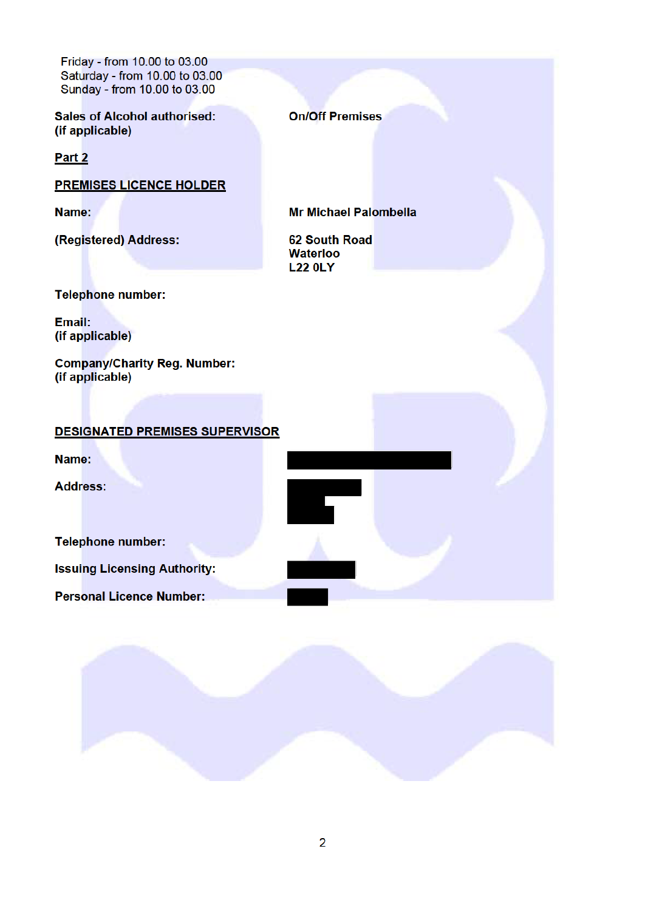Friday - from 10.00 to 03.00 Saturday - from 10.00 to 03.00 Sunday - from 10.00 to 03.00

**Sales of Alcohol authorised:** (if applicable)

Part 2

**PREMISES LICENCE HOLDER** 

Name:

(Registered) Address:

**On/Off Premises** 

**Mr Michael Palombella** 

**62 South Road Waterloo L22 0LY** 

**Telephone number:** 

Email: (if applicable)

**Company/Charity Reg. Number:** (if applicable)

#### **DESIGNATED PREMISES SUPERVISOR**

Name:

**Address:** 

**Telephone number:** 

**Issuing Licensing Authority:** 

**Personal Licence Number:** 

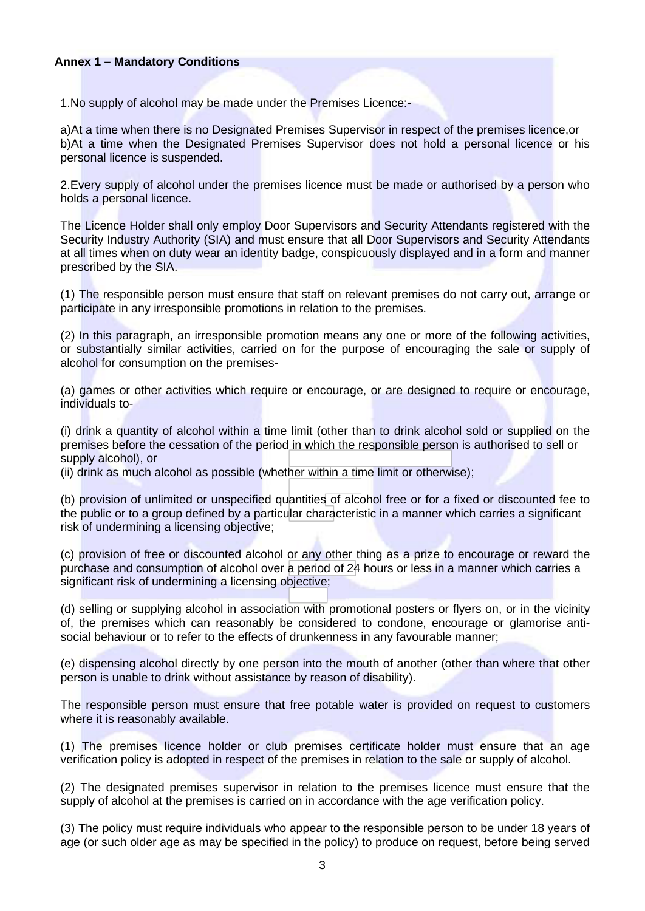#### **Annex 1 – Mandatory Conditions**

1.No supply of alcohol may be made under the Premises Licence:-

a)At a time when there is no Designated Premises Supervisor in respect of the premises licence,or b)At a time when the Designated Premises Supervisor does not hold a personal licence or his personal licence is suspended.

2.Every supply of alcohol under the premises licence must be made or authorised by a person who holds a personal licence.

The Licence Holder shall only employ Door Supervisors and Security Attendants registered with the Security Industry Authority (SIA) and must ensure that all Door Supervisors and Security Attendants at all times when on duty wear an identity badge, conspicuously displayed and in a form and manner prescribed by the SIA.

(1) The responsible person must ensure that staff on relevant premises do not carry out, arrange or participate in any irresponsible promotions in relation to the premises.

(2) In this paragraph, an irresponsible promotion means any one or more of the following activities, or substantially similar activities, carried on for the purpose of encouraging the sale or supply of alcohol for consumption on the premises-

(a) games or other activities which require or encourage, or are designed to require or encourage, individuals to-

(i) drink a quantity of alcohol within a time limit (other than to drink alcohol sold or supplied on the premises before the cessation of the period in which the responsible person is authorised to sell or supply alcohol), or

(ii) drink as much alcohol as possible (whether within a time limit or otherwise);

(b) provision of unlimited or unspecified quantities of alcohol free or for a fixed or discounted fee to the public or to a group defined by a particular characteristic in a manner which carries a significant risk of undermining a licensing objective;

(c) provision of free or discounted alcohol or any other thing as a prize to encourage or reward the purchase and consumption of alcohol over a period of 24 hours or less in a manner which carries a significant risk of undermining a licensing objective;

(d) selling or supplying alcohol in association with promotional posters or flyers on, or in the vicinity of, the premises which can reasonably be considered to condone, encourage or glamorise antisocial behaviour or to refer to the effects of drunkenness in any favourable manner;

(e) dispensing alcohol directly by one person into the mouth of another (other than where that other person is unable to drink without assistance by reason of disability).

The responsible person must ensure that free potable water is provided on request to customers where it is reasonably available.

(1) The premises licence holder or club premises certificate holder must ensure that an age verification policy is adopted in respect of the premises in relation to the sale or supply of alcohol.

(2) The designated premises supervisor in relation to the premises licence must ensure that the supply of alcohol at the premises is carried on in accordance with the age verification policy.

(3) The policy must require individuals who appear to the responsible person to be under 18 years of age (or such older age as may be specified in the policy) to produce on request, before being served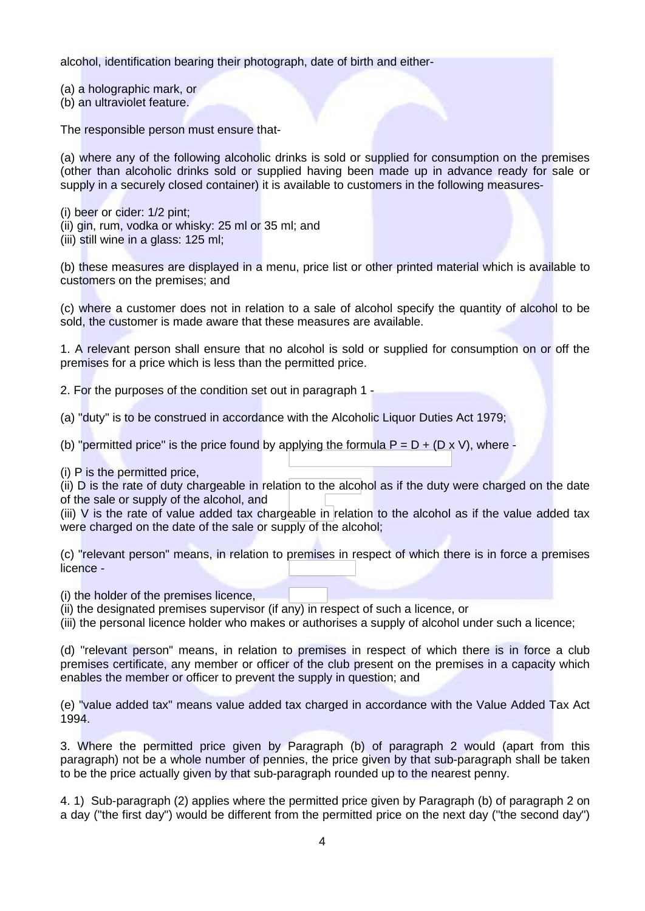alcohol, identification bearing their photograph, date of birth and either-

(a) a holographic mark, or

(b) an ultraviolet feature.

The responsible person must ensure that-

(a) where any of the following alcoholic drinks is sold or supplied for consumption on the premises (other than alcoholic drinks sold or supplied having been made up in advance ready for sale or supply in a securely closed container) it is available to customers in the following measures-

- (i) beer or cider: 1/2 pint;
- (ii) gin, rum, vodka or whisky: 25 ml or 35 ml; and

(iii) still wine in a glass: 125 ml;

(b) these measures are displayed in a menu, price list or other printed material which is available to customers on the premises; and

(c) where a customer does not in relation to a sale of alcohol specify the quantity of alcohol to be sold, the customer is made aware that these measures are available.

1. A relevant person shall ensure that no alcohol is sold or supplied for consumption on or off the premises for a price which is less than the permitted price.

2. For the purposes of the condition set out in paragraph 1 -

(a) "duty" is to be construed in accordance with the Alcoholic Liquor Duties Act 1979;

(b) "permitted price" is the price found by applying the formula  $P = D + (D \times V)$ , where -

(i) P is the permitted price,

(ii) D is the rate of duty chargeable in relation to the alcohol as if the duty were charged on the date of the sale or supply of the alcohol, and

(iii) V is the rate of value added tax chargeable in relation to the alcohol as if the value added tax were charged on the date of the sale or supply of the alcohol;

(c) "relevant person" means, in relation to premises in respect of which there is in force a premises licence -

(i) the holder of the premises licence,

(ii) the designated premises supervisor (if any) in respect of such a licence, or

(iii) the personal licence holder who makes or authorises a supply of alcohol under such a licence;

(d) "relevant person" means, in relation to premises in respect of which there is in force a club premises certificate, any member or officer of the club present on the premises in a capacity which enables the member or officer to prevent the supply in question; and

(e) "value added tax" means value added tax charged in accordance with the Value Added Tax Act 1994.

3. Where the permitted price given by Paragraph (b) of paragraph 2 would (apart from this paragraph) not be a whole number of pennies, the price given by that sub-paragraph shall be taken to be the price actually given by that sub-paragraph rounded up to the nearest penny.

4. 1) Sub-paragraph (2) applies where the permitted price given by Paragraph (b) of paragraph 2 on a day ("the first day") would be different from the permitted price on the next day ("the second day")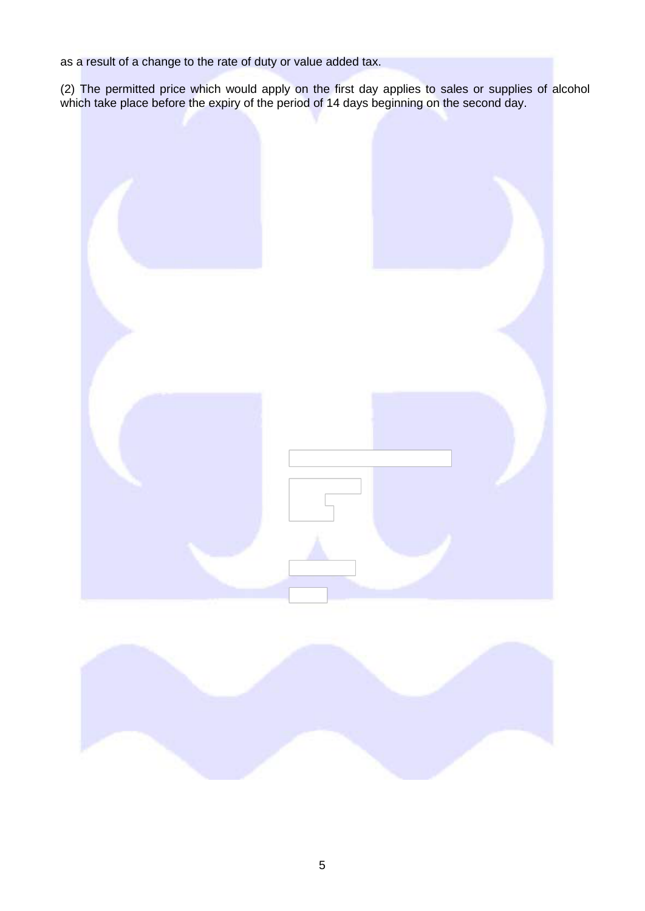as a result of a change to the rate of duty or value added tax.

(2) The permitted price which would apply on the first day applies to sales or supplies of alcohol which take place before the expiry of the period of 14 days beginning on the second day.



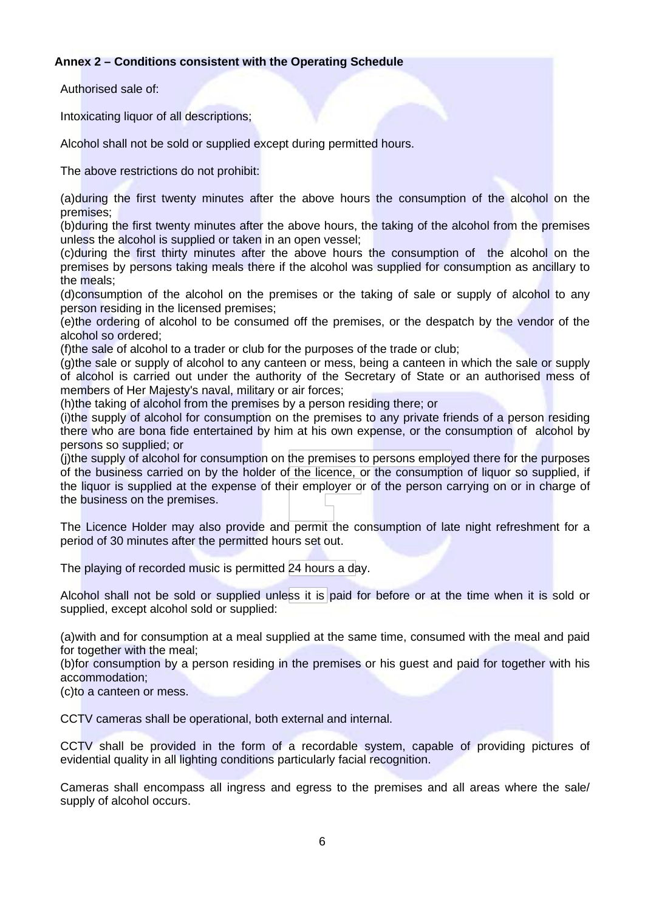#### **Annex 2 – Conditions consistent with the Operating Schedule**

Authorised sale of:

Intoxicating liquor of all descriptions;

Alcohol shall not be sold or supplied except during permitted hours.

The above restrictions do not prohibit:

(a)during the first twenty minutes after the above hours the consumption of the alcohol on the premises;

(b)during the first twenty minutes after the above hours, the taking of the alcohol from the premises unless the alcohol is supplied or taken in an open vessel;

(c)during the first thirty minutes after the above hours the consumption of the alcohol on the premises by persons taking meals there if the alcohol was supplied for consumption as ancillary to the meals;

(d)consumption of the alcohol on the premises or the taking of sale or supply of alcohol to any person residing in the licensed premises;

(e)the ordering of alcohol to be consumed off the premises, or the despatch by the vendor of the alcohol so ordered;

(f)the sale of alcohol to a trader or club for the purposes of the trade or club;

(g)the sale or supply of alcohol to any canteen or mess, being a canteen in which the sale or supply of alcohol is carried out under the authority of the Secretary of State or an authorised mess of members of Her Majesty's naval, military or air forces;

(h)the taking of alcohol from the premises by a person residing there; or

(i)the supply of alcohol for consumption on the premises to any private friends of a person residing there who are bona fide entertained by him at his own expense, or the consumption of alcohol by persons so supplied; or

(j)the supply of alcohol for consumption on the premises to persons employed there for the purposes of the business carried on by the holder of the licence, or the consumption of liquor so supplied, if the liquor is supplied at the expense of their employer or of the person carrying on or in charge of the business on the premises.

The Licence Holder may also provide and permit the consumption of late night refreshment for a period of 30 minutes after the permitted hours set out.

The playing of recorded music is permitted 24 hours a day.

Alcohol shall not be sold or supplied unless it is paid for before or at the time when it is sold or supplied, except alcohol sold or supplied:

(a)with and for consumption at a meal supplied at the same time, consumed with the meal and paid for together with the meal:

(b)for consumption by a person residing in the premises or his guest and paid for together with his accommodation;

(c)to a canteen or mess.

CCTV cameras shall be operational, both external and internal.

CCTV shall be provided in the form of a recordable system, capable of providing pictures of evidential quality in all lighting conditions particularly facial recognition.

Cameras shall encompass all ingress and egress to the premises and all areas where the sale/ supply of alcohol occurs.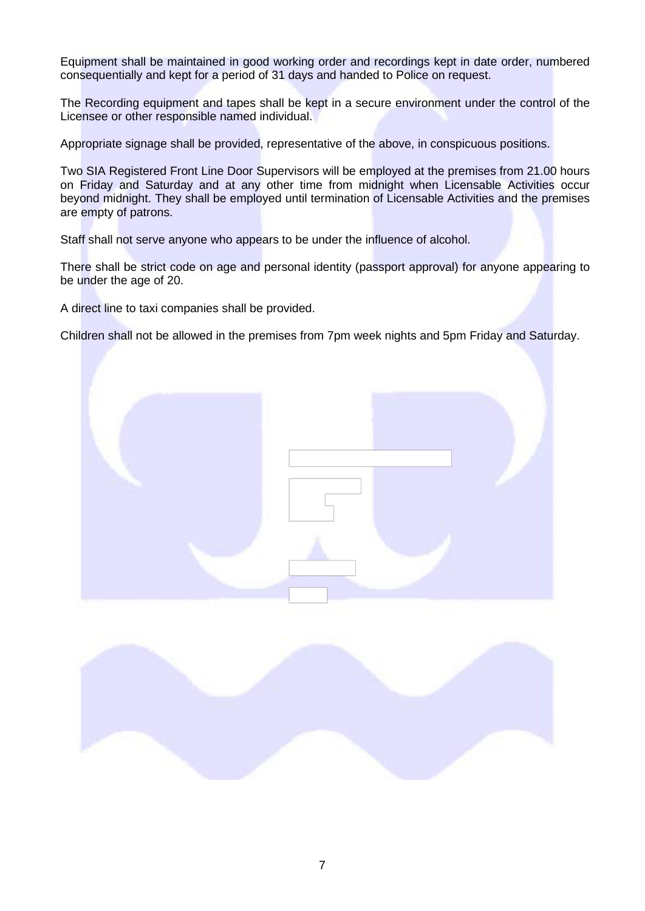Equipment shall be maintained in good working order and recordings kept in date order, numbered consequentially and kept for a period of 31 days and handed to Police on request.

The Recording equipment and tapes shall be kept in a secure environment under the control of the Licensee or other responsible named individual.

Appropriate signage shall be provided, representative of the above, in conspicuous positions.

Two SIA Registered Front Line Door Supervisors will be employed at the premises from 21.00 hours on Friday and Saturday and at any other time from midnight when Licensable Activities occur beyond midnight. They shall be employed until termination of Licensable Activities and the premises are empty of patrons.

Staff shall not serve anyone who appears to be under the influence of alcohol.

There shall be strict code on age and personal identity (passport approval) for anyone appearing to be under the age of 20.

A direct line to taxi companies shall be provided.

Children shall not be allowed in the premises from 7pm week nights and 5pm Friday and Saturday.